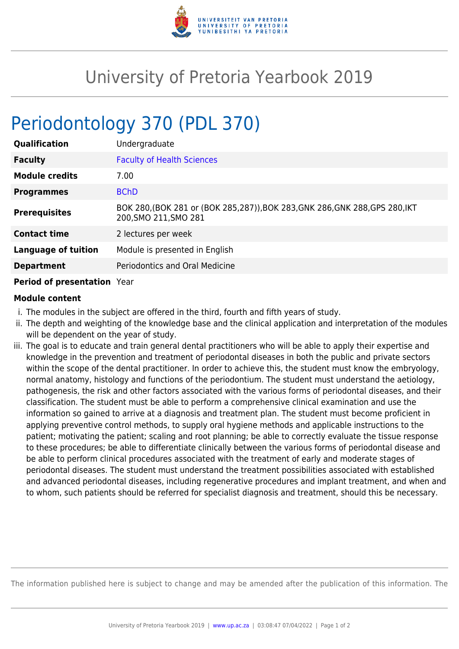

## University of Pretoria Yearbook 2019

## Periodontology 370 (PDL 370)

| <b>Qualification</b>       | Undergraduate                                                                                          |
|----------------------------|--------------------------------------------------------------------------------------------------------|
| <b>Faculty</b>             | <b>Faculty of Health Sciences</b>                                                                      |
| <b>Module credits</b>      | 7.00                                                                                                   |
| <b>Programmes</b>          | <b>BChD</b>                                                                                            |
| <b>Prerequisites</b>       | BOK 280, (BOK 281 or (BOK 285, 287)), BOK 283, GNK 286, GNK 288, GPS 280, IKT<br>200, SMO 211, SMO 281 |
| <b>Contact time</b>        | 2 lectures per week                                                                                    |
| <b>Language of tuition</b> | Module is presented in English                                                                         |
| <b>Department</b>          | Periodontics and Oral Medicine                                                                         |
| _ _ _ _ _                  |                                                                                                        |

## **Period of presentation** Year

## **Module content**

- i. The modules in the subject are offered in the third, fourth and fifth years of study.
- ii. The depth and weighting of the knowledge base and the clinical application and interpretation of the modules will be dependent on the year of study.
- iii. The goal is to educate and train general dental practitioners who will be able to apply their expertise and knowledge in the prevention and treatment of periodontal diseases in both the public and private sectors within the scope of the dental practitioner. In order to achieve this, the student must know the embryology, normal anatomy, histology and functions of the periodontium. The student must understand the aetiology, pathogenesis, the risk and other factors associated with the various forms of periodontal diseases, and their classification. The student must be able to perform a comprehensive clinical examination and use the information so gained to arrive at a diagnosis and treatment plan. The student must become proficient in applying preventive control methods, to supply oral hygiene methods and applicable instructions to the patient; motivating the patient; scaling and root planning; be able to correctly evaluate the tissue response to these procedures; be able to differentiate clinically between the various forms of periodontal disease and be able to perform clinical procedures associated with the treatment of early and moderate stages of periodontal diseases. The student must understand the treatment possibilities associated with established and advanced periodontal diseases, including regenerative procedures and implant treatment, and when and to whom, such patients should be referred for specialist diagnosis and treatment, should this be necessary.

The information published here is subject to change and may be amended after the publication of this information. The